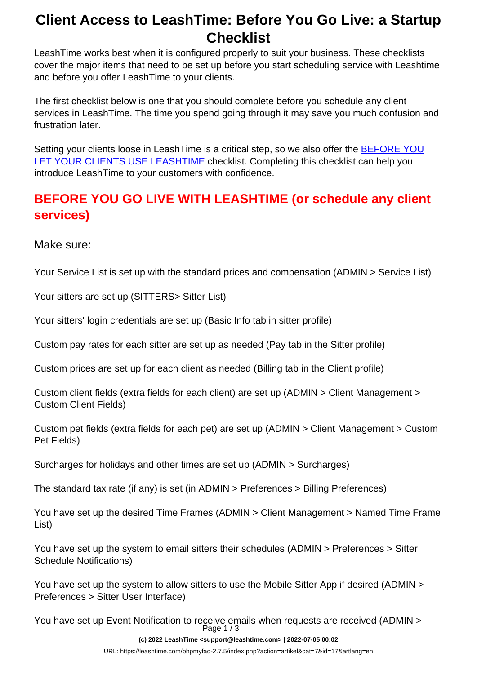# <span id="page-0-0"></span>**Client Access to LeashTime: Before You Go Live: a Startup Checklist**

LeashTime works best when it is configured properly to suit your business. These checklists cover the major items that need to be set up before you start scheduling service with Leashtime and before you offer LeashTime to your clients.

The first checklist below is one that you should complete before you schedule any client services in LeashTime. The time you spend going through it may save you much confusion and frustration later.

Setting your clients loose in LeashTime is a critical step, so we also offer the **[BEFORE YOU](#page-0-0)** [LET YOUR CLIENTS USE LEASHTIME](#page-0-0) checklist. Completing this checklist can help you introduce LeashTime to your customers with confidence.

### **BEFORE YOU GO LIVE WITH LEASHTIME (or schedule any client services)**

Make sure:

Your Service List is set up with the standard prices and compensation (ADMIN > Service List)

Your sitters are set up (SITTERS> Sitter List)

Your sitters' login credentials are set up (Basic Info tab in sitter profile)

Custom pay rates for each sitter are set up as needed (Pay tab in the Sitter profile)

Custom prices are set up for each client as needed (Billing tab in the Client profile)

Custom client fields (extra fields for each client) are set up (ADMIN > Client Management > Custom Client Fields)

Custom pet fields (extra fields for each pet) are set up (ADMIN > Client Management > Custom Pet Fields)

Surcharges for holidays and other times are set up (ADMIN > Surcharges)

The standard tax rate (if any) is set (in ADMIN > Preferences > Billing Preferences)

You have set up the desired Time Frames (ADMIN > Client Management > Named Time Frame List)

You have set up the system to email sitters their schedules (ADMIN > Preferences > Sitter Schedule Notifications)

You have set up the system to allow sitters to use the Mobile Sitter App if desired (ADMIN > Preferences > Sitter User Interface)

You have set up Event Notification to receive emails when requests are received (ADMIN > Page 1 / 3

**(c) 2022 LeashTime <support@leashtime.com> | 2022-07-05 00:02**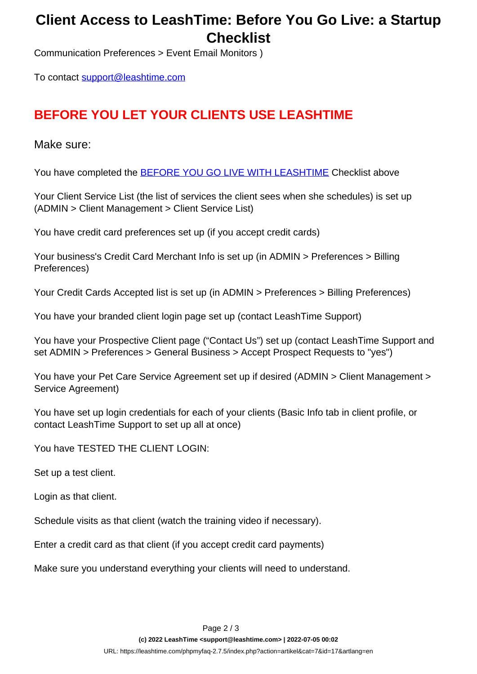# <span id="page-1-0"></span>**Client Access to LeashTime: Before You Go Live: a Startup Checklist**

Communication Preferences > Event Email Monitors )

To contact [support@leashtime.com](mailto:support@leashtime.com)

### **BEFORE YOU LET YOUR CLIENTS USE LEASHTIME**

#### Make sure:

You have completed the **BEFORE YOU GO LIVE WITH LEASHTIME** Checklist above

Your Client Service List (the list of services the client sees when she schedules) is set up (ADMIN > Client Management > Client Service List)

You have credit card preferences set up (if you accept credit cards)

Your business's Credit Card Merchant Info is set up (in ADMIN > Preferences > Billing Preferences)

Your Credit Cards Accepted list is set up (in ADMIN > Preferences > Billing Preferences)

You have your branded client login page set up (contact LeashTime Support)

You have your Prospective Client page ("Contact Us") set up (contact LeashTime Support and set ADMIN > Preferences > General Business > Accept Prospect Requests to "yes")

You have your Pet Care Service Agreement set up if desired (ADMIN > Client Management > Service Agreement)

You have set up login credentials for each of your clients (Basic Info tab in client profile, or contact LeashTime Support to set up all at once)

You have TESTED THE CLIENT LOGIN:

Set up a test client.

Login as that client.

Schedule visits as that client (watch the training video if necessary).

Enter a credit card as that client (if you accept credit card payments)

Make sure you understand everything your clients will need to understand.